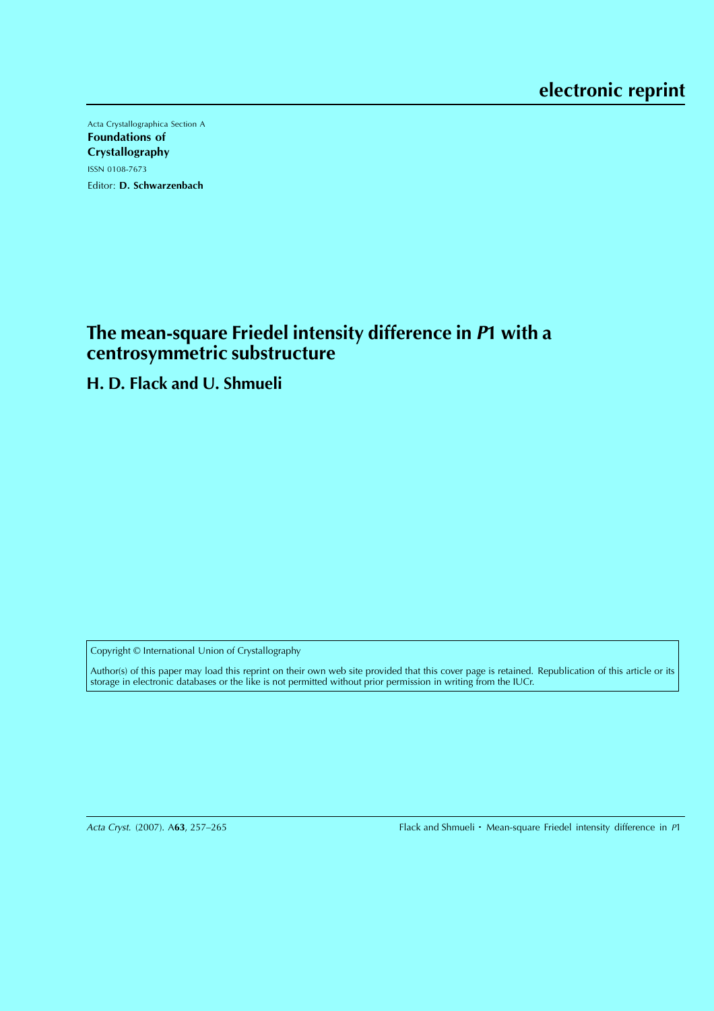Acta Crystallographica Section A Foundations of Crystallography ISSN 0108-7673 Editor: D. Schwarzenbach

# **The mean-square Friedel intensity difference in <sup>P</sup>1 with a centrosymmetric substructure**

**H. D. Flack and U. Shmueli**

Copyright © International Union of Crystallography

Author(s) of this paper may load this reprint on their own web site provided that this cover page is retained. Republication of this article or its storage in electronic databases or the like is not permitted without prior permission in writing from the IUCr.

Acta Cryst. (2007). A63, 257-265

Flack and Shmueli  $\cdot$  Mean-square Friedel intensity difference in P1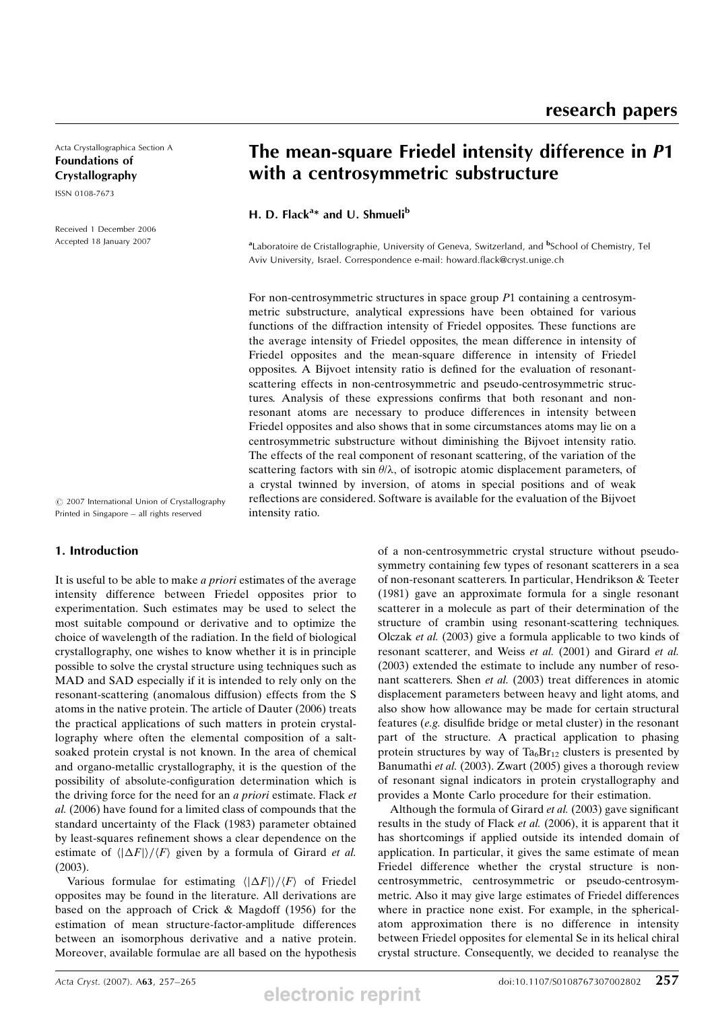Acta Crystallographica Section A Foundations of Crystallography

ISSN 0108-7673

Received 1 December 2006 Accepted 18 January 2007

# The mean-square Friedel intensity difference in P1 with a centrosymmetric substructure

H. D. Flack<sup>a\*</sup> and U. Shmueli<sup>b</sup>

<sup>a</sup>Laboratoire de Cristallographie, University of Geneva, Switzerland, and <sup>b</sup>School of Chemistry, Tel Aviv University, Israel. Correspondence e-mail: howard.flack@cryst.unige.ch

For non-centrosymmetric structures in space group P1 containing a centrosymmetric substructure, analytical expressions have been obtained for various functions of the diffraction intensity of Friedel opposites. These functions are the average intensity of Friedel opposites, the mean difference in intensity of Friedel opposites and the mean-square difference in intensity of Friedel opposites. A Bijvoet intensity ratio is defined for the evaluation of resonantscattering effects in non-centrosymmetric and pseudo-centrosymmetric structures. Analysis of these expressions confirms that both resonant and nonresonant atoms are necessary to produce differences in intensity between Friedel opposites and also shows that in some circumstances atoms may lie on a centrosymmetric substructure without diminishing the Bijvoet intensity ratio. The effects of the real component of resonant scattering, of the variation of the scattering factors with sin  $\theta/\lambda$ , of isotropic atomic displacement parameters, of a crystal twinned by inversion, of atoms in special positions and of weak reflections are considered. Software is available for the evaluation of the Bijvoet intensity ratio.

 $\odot$  2007 International Union of Crystallography Printed in Singapore – all rights reserved

## 1. Introduction

It is useful to be able to make a priori estimates of the average intensity difference between Friedel opposites prior to experimentation. Such estimates may be used to select the most suitable compound or derivative and to optimize the choice of wavelength of the radiation. In the field of biological crystallography, one wishes to know whether it is in principle possible to solve the crystal structure using techniques such as MAD and SAD especially if it is intended to rely only on the resonant-scattering (anomalous diffusion) effects from the S atoms in the native protein. The article of Dauter (2006) treats the practical applications of such matters in protein crystallography where often the elemental composition of a saltsoaked protein crystal is not known. In the area of chemical and organo-metallic crystallography, it is the question of the possibility of absolute-configuration determination which is the driving force for the need for an *a priori* estimate. Flack *et* al. (2006) have found for a limited class of compounds that the standard uncertainty of the Flack (1983) parameter obtained by least-squares refinement shows a clear dependence on the estimate of  $\langle |\Delta F| \rangle / \langle F \rangle$  given by a formula of Girard *et al.* (2003).

Various formulae for estimating  $\langle |\Delta F| \rangle / \langle F \rangle$  of Friedel opposites may be found in the literature. All derivations are based on the approach of Crick & Magdoff (1956) for the estimation of mean structure-factor-amplitude differences between an isomorphous derivative and a native protein. Moreover, available formulae are all based on the hypothesis of a non-centrosymmetric crystal structure without pseudosymmetry containing few types of resonant scatterers in a sea of non-resonant scatterers. In particular, Hendrikson & Teeter (1981) gave an approximate formula for a single resonant scatterer in a molecule as part of their determination of the structure of crambin using resonant-scattering techniques. Olczak et al. (2003) give a formula applicable to two kinds of resonant scatterer, and Weiss et al. (2001) and Girard et al. (2003) extended the estimate to include any number of resonant scatterers. Shen et al. (2003) treat differences in atomic displacement parameters between heavy and light atoms, and also show how allowance may be made for certain structural features (e.g. disulfide bridge or metal cluster) in the resonant part of the structure. A practical application to phasing protein structures by way of  $Ta_6Br_{12}$  clusters is presented by Banumathi et al. (2003). Zwart (2005) gives a thorough review of resonant signal indicators in protein crystallography and provides a Monte Carlo procedure for their estimation.

Although the formula of Girard et al. (2003) gave significant results in the study of Flack et al. (2006), it is apparent that it has shortcomings if applied outside its intended domain of application. In particular, it gives the same estimate of mean Friedel difference whether the crystal structure is noncentrosymmetric, centrosymmetric or pseudo-centrosymmetric. Also it may give large estimates of Friedel differences where in practice none exist. For example, in the sphericalatom approximation there is no difference in intensity between Friedel opposites for elemental Se in its helical chiral crystal structure. Consequently, we decided to reanalyse the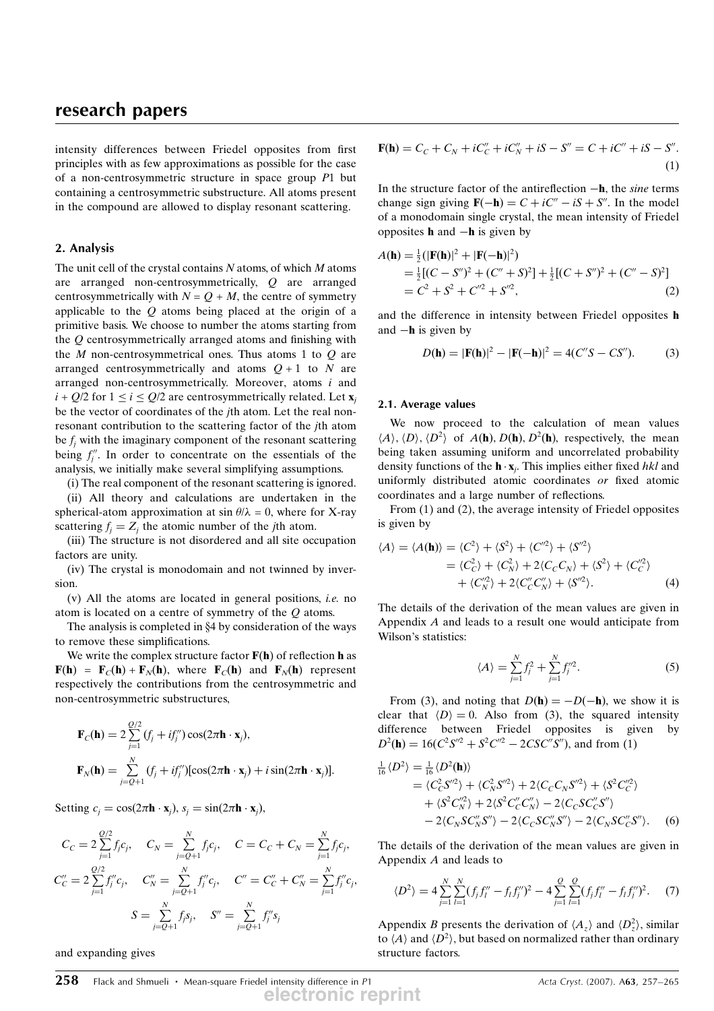intensity differences between Friedel opposites from first principles with as few approximations as possible for the case of a non-centrosymmetric structure in space group P1 but containing a centrosymmetric substructure. All atoms present in the compound are allowed to display resonant scattering.

### 2. Analysis

The unit cell of the crystal contains  $N$  atoms, of which  $M$  atoms are arranged non-centrosymmetrically, Q are arranged centrosymmetrically with  $N = Q + M$ , the centre of symmetry applicable to the  $Q$  atoms being placed at the origin of a primitive basis. We choose to number the atoms starting from the Q centrosymmetrically arranged atoms and finishing with the  $M$  non-centrosymmetrical ones. Thus atoms 1 to  $Q$  are arranged centrosymmetrically and atoms  $Q + 1$  to N are arranged non-centrosymmetrically. Moreover, atoms  $i$  and  $i + Q/2$  for  $1 \le i \le Q/2$  are centrosymmetrically related. Let  $\mathbf{x}_i$ be the vector of coordinates of the jth atom. Let the real nonresonant contribution to the scattering factor of the jth atom be  $f_i$  with the imaginary component of the resonant scattering being  $f''_j$ . In order to concentrate on the essentials of the analysis, we initially make several simplifying assumptions.

(i) The real component of the resonant scattering is ignored. (ii) All theory and calculations are undertaken in the spherical-atom approximation at  $\sin \theta / \lambda = 0$ , where for X-ray scattering  $f_i = Z_i$  the atomic number of the jth atom.

(iii) The structure is not disordered and all site occupation factors are unity.

(iv) The crystal is monodomain and not twinned by inversion.

 $(v)$  All the atoms are located in general positions, *i.e.* no atom is located on a centre of symmetry of the Q atoms.

The analysis is completed in  $§4$  by consideration of the ways to remove these simplifications.

We write the complex structure factor  $F(h)$  of reflection h as  $F(h) = F_C(h) + F_N(h)$ , where  $F_C(h)$  and  $F_N(h)$  represent respectively the contributions from the centrosymmetric and non-centrosymmetric substructures,

$$
\mathbf{F}_C(\mathbf{h}) = 2 \sum_{j=1}^{Q/2} (f_j + if_j'') \cos(2\pi \mathbf{h} \cdot \mathbf{x}_j),
$$
  

$$
\mathbf{F}_N(\mathbf{h}) = \sum_{j=Q+1}^N (f_j + if_j'') [\cos(2\pi \mathbf{h} \cdot \mathbf{x}_j) + i \sin(2\pi \mathbf{h} \cdot \mathbf{x}_j)].
$$

Setting  $c_j = \cos(2\pi \mathbf{h} \cdot \mathbf{x}_j), s_j = \sin(2\pi \mathbf{h} \cdot \mathbf{x}_j),$ 

$$
C_C = 2 \sum_{j=1}^{Q/2} f_j c_j, \quad C_N = \sum_{j=Q+1}^N f_j c_j, \quad C = C_C + C_N = \sum_{j=1}^N f_j c_j,
$$
  

$$
C_C'' = 2 \sum_{j=1}^{Q/2} f_j'' c_j, \quad C_N'' = \sum_{j=Q+1}^N f_j'' c_j, \quad C'' = C_C'' + C_N'' = \sum_{j=1}^N f_j'' c_j,
$$
  

$$
S = \sum_{j=Q+1}^N f_j s_j, \quad S'' = \sum_{j=Q+1}^N f_j'' s_j
$$

and expanding gives

$$
\mathbf{F}(\mathbf{h}) = C_C + C_N + iC''_C + iC''_N + iS - S'' = C + iC'' + iS - S'.
$$
\n(1)

In the structure factor of the antireflection  $-h$ , the sine terms change sign giving  $\mathbf{F}(-\mathbf{h}) = C + iC'' - iS + S''$ . In the model of a monodomain single crystal, the mean intensity of Friedel opposites  $h$  and  $-h$  is given by

$$
A(\mathbf{h}) = \frac{1}{2} (|\mathbf{F}(\mathbf{h})|^2 + |\mathbf{F}(-\mathbf{h})|^2)
$$
  
=\frac{1}{2} [(C - S'')^2 + (C'' + S)^2] + \frac{1}{2} [(C + S'')^2 + (C'' - S)^2]  
= C<sup>2</sup> + S<sup>2</sup> + C''<sup>2</sup> + S''<sup>2</sup>, (2)

and the difference in intensity between Friedel opposites h and  $-\mathbf{h}$  is given by

$$
D(\mathbf{h}) = |\mathbf{F}(\mathbf{h})|^2 - |\mathbf{F}(-\mathbf{h})|^2 = 4(C''S - CS'').
$$
 (3)

#### 2.1. Average values

We now proceed to the calculation of mean values  $\langle A \rangle$ ,  $\langle D \rangle$ ,  $\langle D^2 \rangle$  of  $A(\mathbf{h})$ ,  $D(\mathbf{h})$ ,  $D^2(\mathbf{h})$ , respectively, the mean being taken assuming uniform and uncorrelated probability density functions of the  $\mathbf{h} \cdot \mathbf{x}_i$ . This implies either fixed *hkl* and uniformly distributed atomic coordinates or fixed atomic uniformly distributed atomic coordinates or fixed atomic coordinates and a large number of reflections.

From (1) and (2), the average intensity of Friedel opposites is given by

$$
\langle A \rangle = \langle A(\mathbf{h}) \rangle = \langle C^2 \rangle + \langle S^2 \rangle + \langle C^{2} \rangle + \langle S^{2} \rangle
$$
  
=  $\langle C_C^2 \rangle + \langle C_N^2 \rangle + 2 \langle C_C C_N \rangle + \langle S^2 \rangle + \langle C_C^{2} \rangle$   
+  $\langle C_N^{2} \rangle + 2 \langle C_C^{2} C_N^{2} \rangle + \langle S^{2} \rangle.$  (4)

The details of the derivation of the mean values are given in Appendix A and leads to a result one would anticipate from Wilson's statistics:

$$
\langle A \rangle = \sum_{j=1}^{N} f_j^2 + \sum_{j=1}^{N} f_j^{1/2}.
$$
 (5)

From (3), and noting that  $D(h) = -D(-h)$ , we show it is clear that  $\langle D \rangle = 0$ . Also from (3), the squared intensity difference between Friedel opposites is given by  $D^2(\mathbf{h}) = 16(C^2S^{\prime\prime 2} + S^2C^{\prime\prime 2} - 2CSC^{\prime\prime}S^{\prime\prime})$ , and from (1)

$$
\frac{1}{16} \langle D^2 \rangle = \frac{1}{16} \langle D^2 \mathbf{h} \rangle \n= \langle C_C^2 S^{\prime\prime 2} \rangle + \langle C_N^2 S^{\prime\prime 2} \rangle + 2 \langle C_C C_N S^{\prime\prime 2} \rangle + \langle S^2 C_C^{\prime\prime 2} \rangle \n+ \langle S^2 C_N^{\prime\prime} \rangle + 2 \langle S^2 C_C^{\prime\prime} C_N^{\prime\prime} \rangle - 2 \langle C_C S C_C^{\prime\prime} S^{\prime\prime} \rangle \n- 2 \langle C_N S C_N^{\prime\prime} S^{\prime\prime} \rangle - 2 \langle C_C S C_N^{\prime\prime} S^{\prime\prime} \rangle - 2 \langle C_N S C_C^{\prime\prime} S^{\prime\prime} \rangle. \tag{6}
$$

The details of the derivation of the mean values are given in Appendix A and leads to

$$
\langle D^2 \rangle = 4 \sum_{j=1}^N \sum_{l=1}^N (f_j f_l'' - f_l f_j'')^2 - 4 \sum_{j=1}^Q \sum_{l=1}^Q (f_j f_l'' - f_l f_j'')^2. \tag{7}
$$

Appendix B presents the derivation of  $\langle A_z \rangle$  and  $\langle D_z^2 \rangle$ , similar<br>to  $\langle A \rangle$  and  $\langle D^2 \rangle$  but based on normalized rather than ordinary to  $\langle A \rangle$  and  $\langle D^2 \rangle$ , but based on normalized rather than ordinary structure factors.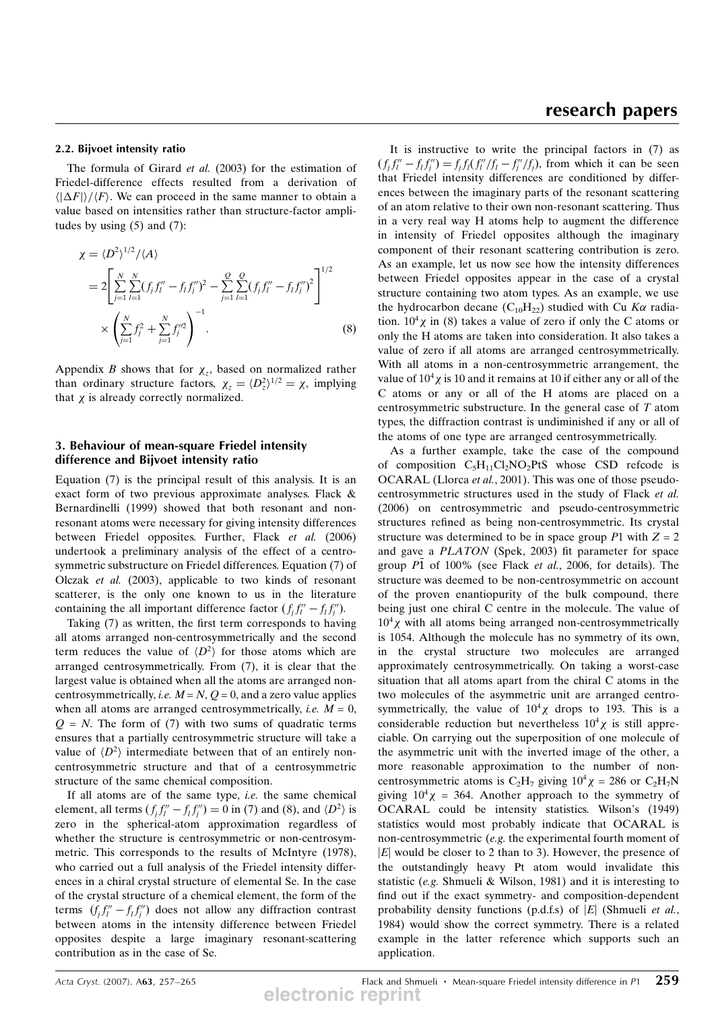### 2.2. Bijvoet intensity ratio

The formula of Girard et al. (2003) for the estimation of Friedel-difference effects resulted from a derivation of  $\langle |\Delta F| \rangle / \langle F \rangle$ . We can proceed in the same manner to obtain a value based on intensities rather than structure-factor amplitudes by using  $(5)$  and  $(7)$ :

$$
\chi = \langle D^2 \rangle^{1/2} / \langle A \rangle
$$
  
=  $2 \left[ \sum_{j=1}^N \sum_{l=1}^N (f_j f_l'' - f_l f_j'')^2 - \sum_{j=1}^Q \sum_{l=1}^Q (f_j f_l'' - f_l f_j'')^2 \right]^{1/2}$   
 $\times \left( \sum_{j=1}^N f_j^2 + \sum_{j=1}^N f_j''^2 \right)^{-1}.$  (8)

Appendix B shows that for  $\chi_z$ , based on normalized rather than ordinary structure factors,  $\chi_z = \langle D_z^2 \rangle^{1/2} = \chi$ , implying<br>that x is already correctly normalized that  $\chi$  is already correctly normalized.

## 3. Behaviour of mean-square Friedel intensity difference and Bijvoet intensity ratio

Equation (7) is the principal result of this analysis. It is an exact form of two previous approximate analyses. Flack & Bernardinelli (1999) showed that both resonant and nonresonant atoms were necessary for giving intensity differences between Friedel opposites. Further, Flack et al. (2006) undertook a preliminary analysis of the effect of a centrosymmetric substructure on Friedel differences. Equation (7) of Olczak et al. (2003), applicable to two kinds of resonant scatterer, is the only one known to us in the literature containing the all important difference factor  $(f_j f_l'' - f_l f_j'')$ .<br>Taking (7) as written, the first term corresponds to having

Taking (7) as written, the first term corresponds to having all atoms arranged non-centrosymmetrically and the second term reduces the value of  $\langle D^2 \rangle$  for those atoms which are arranged centrosymmetrically. From (7), it is clear that the largest value is obtained when all the atoms are arranged noncentrosymmetrically, *i.e.*  $M = N$ ,  $Q = 0$ , and a zero value applies when all atoms are arranged centrosymmetrically, *i.e.*  $M = 0$ ,  $Q = N$ . The form of (7) with two sums of quadratic terms ensures that a partially centrosymmetric structure will take a value of  $\langle D^2 \rangle$  intermediate between that of an entirely noncentrosymmetric structure and that of a centrosymmetric structure of the same chemical composition.

If all atoms are of the same type, *i.e.* the same chemical element, all terms  $(f_j f_l'' - f_l f_l'') = 0$  in (7) and (8), and  $\langle D^2 \rangle$  is zero in the spherical-atom approximation regardless of whether the structure is centrosymmetric or non-centrosymmetric. This corresponds to the results of McIntyre (1978), who carried out a full analysis of the Friedel intensity differences in a chiral crystal structure of elemental Se. In the case of the crystal structure of a chemical element, the form of the terms  $(f_j f_l'' - f_l f_j'')$  does not allow any diffraction contrast<br>between atoms in the intensity difference between Friedel between atoms in the intensity difference between Friedel opposites despite a large imaginary resonant-scattering contribution as in the case of Se.

## research papers

It is instructive to write the principal factors in (7) as  $(f_j f_l'' - f_l f_j'') = f_j f_l(f_l''/f_l - f_j''/f_j)$ , from which it can be seen<br>that Friedel intensity differences are conditioned by differthat Friedel intensity differences are conditioned by differences between the imaginary parts of the resonant scattering of an atom relative to their own non-resonant scattering. Thus in a very real way H atoms help to augment the difference in intensity of Friedel opposites although the imaginary component of their resonant scattering contribution is zero. As an example, let us now see how the intensity differences between Friedel opposites appear in the case of a crystal structure containing two atom types. As an example, we use the hydrocarbon decane (C<sub>10</sub>H<sub>22</sub>) studied with Cu K $\alpha$  radiation.  $10^4 \chi$  in (8) takes a value of zero if only the C atoms or only the H atoms are taken into consideration. It also takes a value of zero if all atoms are arranged centrosymmetrically. With all atoms in a non-centrosymmetric arrangement, the value of  $10^4\chi$  is 10 and it remains at 10 if either any or all of the C atoms or any or all of the H atoms are placed on a centrosymmetric substructure. In the general case of T atom types, the diffraction contrast is undiminished if any or all of the atoms of one type are arranged centrosymmetrically.

As a further example, take the case of the compound of composition  $C_5H_{11}Cl_2NO_2PtS$  whose CSD refcode is OCARAL (Llorca et al., 2001). This was one of those pseudocentrosymmetric structures used in the study of Flack et al. (2006) on centrosymmetric and pseudo-centrosymmetric structures refined as being non-centrosymmetric. Its crystal structure was determined to be in space group  $P1$  with  $Z = 2$ and gave a PLATON (Spek, 2003) fit parameter for space group  $P\bar{1}$  of 100% (see Flack *et al.*, 2006, for details). The structure was deemed to be non-centrosymmetric on account of the proven enantiopurity of the bulk compound, there being just one chiral C centre in the molecule. The value of  $10<sup>4</sup>$ <sub>X</sub> with all atoms being arranged non-centrosymmetrically is 1054. Although the molecule has no symmetry of its own, in the crystal structure two molecules are arranged approximately centrosymmetrically. On taking a worst-case situation that all atoms apart from the chiral C atoms in the two molecules of the asymmetric unit are arranged centrosymmetrically, the value of  $10^4 \chi$  drops to 193. This is a considerable reduction but nevertheless  $10^4 \chi$  is still appreciable. On carrying out the superposition of one molecule of the asymmetric unit with the inverted image of the other, a more reasonable approximation to the number of noncentrosymmetric atoms is  $C_2H_7$  giving  $10^4\chi = 286$  or  $C_2H_7N$ giving  $10^4 \chi = 364$ . Another approach to the symmetry of OCARAL could be intensity statistics. Wilson's (1949) statistics would most probably indicate that OCARAL is non-centrosymmetric (e.g. the experimental fourth moment of  $|E|$  would be closer to 2 than to 3). However, the presence of the outstandingly heavy Pt atom would invalidate this statistic (e.g. Shmueli & Wilson, 1981) and it is interesting to find out if the exact symmetry- and composition-dependent probability density functions (p.d.f.s) of  $|E|$  (Shmueli *et al.*, 1984) would show the correct symmetry. There is a related example in the latter reference which supports such an application.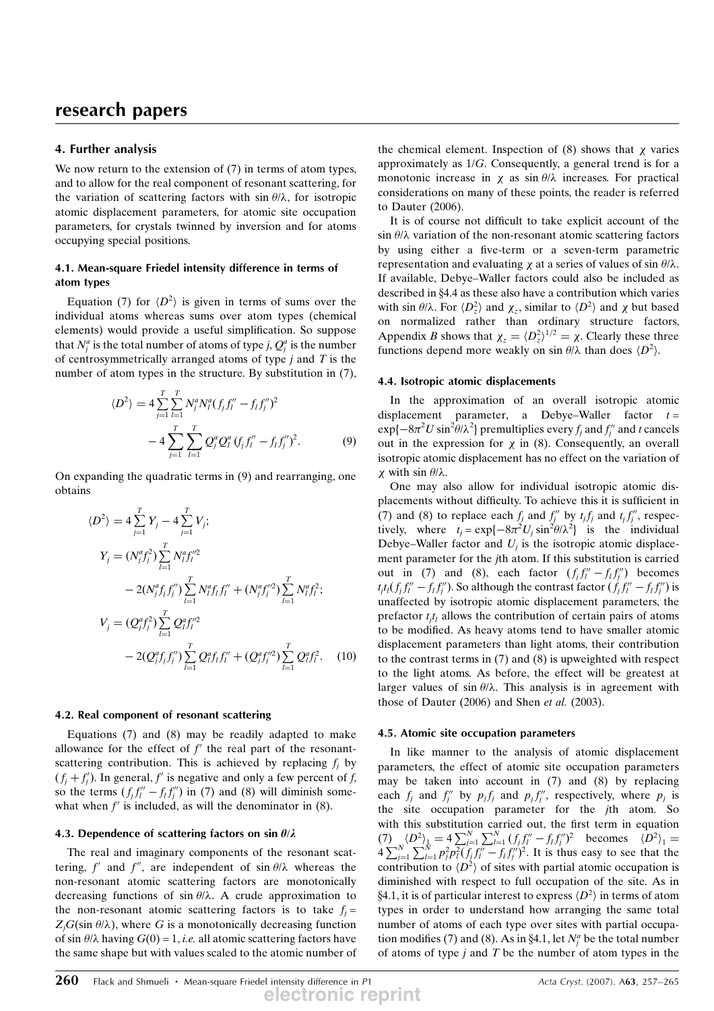## 4. Further analysis

We now return to the extension of  $(7)$  in terms of atom types, and to allow for the real component of resonant scattering, for the variation of scattering factors with  $\sin \theta / \lambda$ , for isotropic atomic displacement parameters, for atomic site occupation parameters, for crystals twinned by inversion and for atoms occupying special positions.

### 4.1. Mean-square Friedel intensity difference in terms of atom types

Equation (7) for  $\langle D^2 \rangle$  is given in terms of sums over the individual atoms whereas sums over atom types (chemical elements) would provide a useful simplification. So suppose that  $N_j^a$  is the total number of atoms of type j,  $Q_j^a$  is the number of centrosymmetrically arranged atoms of type  $j$  and  $T$  is the number of atom types in the structure. By substitution in (7),

$$
\langle D^2 \rangle = 4 \sum_{j=1}^T \sum_{l=1}^T N_j^a N_l^a (f_j f_l'' - f_l f_j'')^2
$$

$$
- 4 \sum_{j=1}^T \sum_{l=1}^T Q_j^a Q_l^a (f_j f_l'' - f_l f_j'')^2. \tag{9}
$$

On expanding the quadratic terms in (9) and rearranging, one obtains

$$
\langle D^2 \rangle = 4 \sum_{j=1}^T Y_j - 4 \sum_{j=1}^T V_j;
$$
  
\n
$$
Y_j = (N_j^a f_j^2) \sum_{l=1}^T N_l^a f_l'^2
$$
  
\n
$$
- 2(N_j^a f_j f_j'') \sum_{l=1}^T N_l^a f_l f_l'' + (N_j^a f_j'^2) \sum_{l=1}^T N_l^a f_l^2;
$$
  
\n
$$
V_j = (Q_j^a f_j^2) \sum_{l=1}^T Q_l^a f_l''^2
$$
  
\n
$$
- 2(Q_j^a f_j f_j'') \sum_{l=1}^T Q_l^a f_l f_l'' + (Q_j^a f_j'^2) \sum_{l=1}^T Q_l^a f_l^2.
$$
 (10)

#### 4.2. Real component of resonant scattering

Equations (7) and (8) may be readily adapted to make allowance for the effect of  $f'$  the real part of the resonantscattering contribution. This is achieved by replacing  $f_i$  by  $(f_j + f'_j)$ . In general, f' is negative and only a few percent of f,<br>so the terms (f f'' – f f'') in (7) and (8) will diminish someso the terms  $(f_j f_l'' - f_l f_j'')$  in (7) and (8) will diminish some-<br>what when f' is included as will the denominator in (8) what when  $f'$  is included, as will the denominator in (8).

#### 4.3. Dependence of scattering factors on sin  $\theta/\lambda$

The real and imaginary components of the resonant scattering, f' and f'', are independent of sin  $\theta/\lambda$  whereas the non-resonant atomic scattering factors are monotonically decreasing functions of sin  $\theta/\lambda$ . A crude approximation to the non-resonant atomic scattering factors is to take  $f_i =$  $Z_jG(\sin \theta/\lambda)$ , where G is a monotonically decreasing function of sin  $\theta/\lambda$  having  $G(0) = 1$ , *i.e.* all atomic scattering factors have the same shape but with values scaled to the atomic number of the chemical element. Inspection of (8) shows that  $\chi$  varies approximately as 1/G. Consequently, a general trend is for a monotonic increase in  $\chi$  as sin  $\theta/\lambda$  increases. For practical considerations on many of these points, the reader is referred to Dauter (2006).

It is of course not difficult to take explicit account of the  $\sin \theta/\lambda$  variation of the non-resonant atomic scattering factors by using either a five-term or a seven-term parametric representation and evaluating  $\chi$  at a series of values of sin  $\theta/\lambda$ . If available, Debye–Waller factors could also be included as described in §4.4 as these also have a contribution which varies with sin  $\theta/\lambda$ . For  $\langle D_z^2 \rangle$  and  $\chi_z$ , similar to  $\langle D^2 \rangle$  and  $\chi$  but based<br>on normalized rather than ordinary structure factors on normalized rather than ordinary structure factors, Appendix B shows that  $\chi_z = \langle D_z^2 \rangle^{1/2} = \chi$ . Clearly these three<br>functions depend more weakly on  $\sin \theta/2$  than does  $\langle D^2 \rangle$ functions depend more weakly on  $\sin \theta / \lambda$  than does  $\langle D^2 \rangle$ .

#### 4.4. Isotropic atomic displacements

In the approximation of an overall isotropic atomic displacement parameter, a Debye–Waller factor  $t =$  $\exp\{-8\pi^2 U \sin^2\theta/\lambda^2\}$  premultiplies every  $f_j$  and  $f''_j$  and t cancels<br>out in the expression for x in (8). Consequently, an overall out in the expression for  $\chi$  in (8). Consequently, an overall isotropic atomic displacement has no effect on the variation of  $\chi$  with sin  $\theta/\lambda$ .

One may also allow for individual isotropic atomic displacements without difficulty. To achieve this it is sufficient in (7) and (8) to replace each  $f_j$  and  $f''_j$  by  $t_j f_j$  and  $t_j f''_j$ , respectively, where  $t_j = \exp\{-8\pi^2 U_j \sin^2 \theta / \lambda^2\}$  is the individual<br>Debye–Waller factor and U, is the isotropic atomic displace-Debye–Waller factor and  $U_j$  is the isotropic atomic displacement parameter for the jth atom. If this substitution is carried out in (7) and (8), each factor  $(f_j f_l'' - f_l f_j'')$  becomes<br>t t ( f f'' – f f'') So although the contrast factor ( f f'' – f f'') is  $t_j t_l (f_j f_l'' - f_l f_j'')$ . So although the contrast factor  $(f_j f_l'' - f_l f_j'')$  is unaffected by isotropic atomic displacement parameters the unaffected by isotropic atomic displacement parameters, the prefactor  $t_j t_l$  allows the contribution of certain pairs of atoms to be modified. As heavy atoms tend to have smaller atomic displacement parameters than light atoms, their contribution to the contrast terms in (7) and (8) is upweighted with respect to the light atoms. As before, the effect will be greatest at larger values of sin  $\theta/\lambda$ . This analysis is in agreement with those of Dauter (2006) and Shen et al. (2003).

#### 4.5. Atomic site occupation parameters

In like manner to the analysis of atomic displacement parameters, the effect of atomic site occupation parameters may be taken into account in (7) and (8) by replacing each  $f_j$  and  $f''_j$  by  $p_j f_j$  and  $p_j f''_j$ , respectively, where  $p_j$  is the site occupation parameter for the jth atom. So with this substitution carried out, the first term in equation (7)  $\langle D^2 \rangle_1 = 4 \sum_{j=1}^N \sum_{l=1}^N \int_{l=1}^N (f_j f_l'' - f_l f_j'')^2$  becomes  $\langle D^2 \rangle_1 = 4 \sum_{j=1}^N \sum_{l=1}^N p_j^2 \int_1^2 (f_j f_l'' - f_l f_j'')^2$ . It is thus easy to see that the contribution to  $\langle D^2 \rangle$  of sites with partial atomic occupa contribution to  $\langle D^2 \rangle$  of sites with partial atomic occupation is<br>diminished with respect to full occupation of the site. As in diminished with respect to full occupation of the site. As in §4.1, it is of particular interest to express  $\langle D^2 \rangle$  in terms of atom types in order to understand how arranging the same total number of atoms of each type over sites with partial occupation modifies (7) and (8). As in §4.1, let  $N_f^a$  be the total number<br>of atoms of type *i* and *T* be the number of atom types in the of atoms of type  $j$  and  $T$  be the number of atom types in the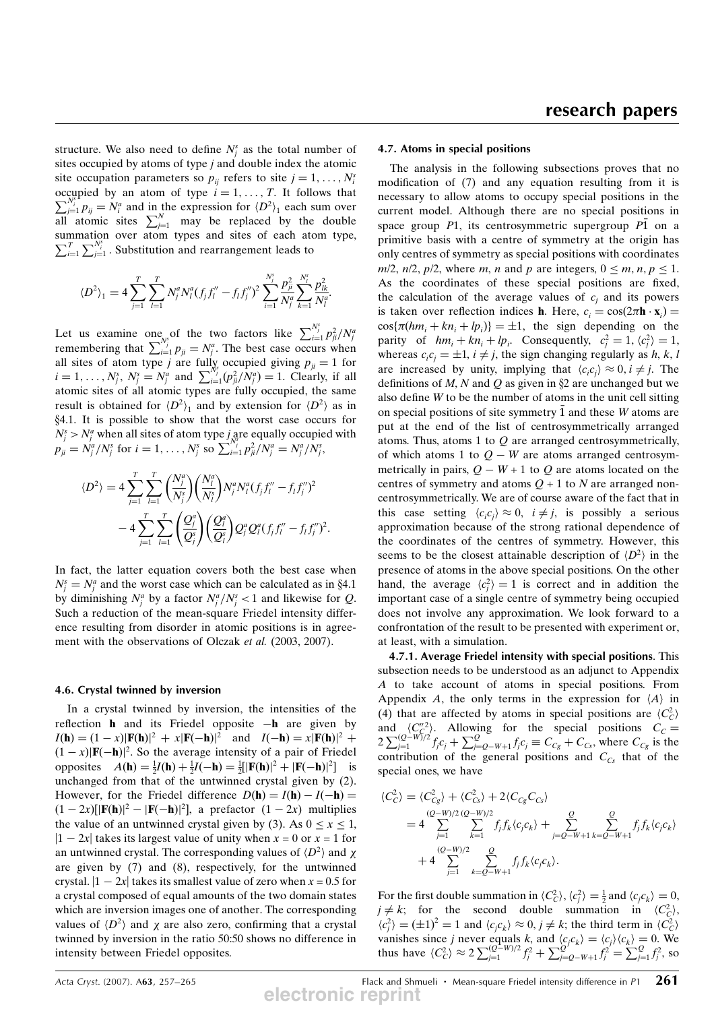structure. We also need to define  $N_j^s$  as the total number of sites occupied by atoms of type j and double index the atomic site occupation parameters so  $p_{ij}$  refers to site  $j = 1, \ldots, N_i^s$ <br>occupied by an atom of type  $i - 1$   $T$ . It follows that  $\sum_{j=1}^{N_i^c} p_{ij} = N_i^a$  and in the expression for  $\langle D^2 \rangle_1$  each sum over occupied by an atom of type  $i = 1, \ldots, T$ . It follows that all atomic sites  $\sum_{j=1}^{N}$  may be replaced by the double summation over atom types and sites of each atom type,  $\sum_{i=1}^{T} \sum_{j=1}^{N_i^s}$ . Substitution and rearrangement leads to

$$
\langle D^2 \rangle_1 = 4 \sum_{j=1}^T \sum_{l=1}^T N_j^a N_l^a (f_j f_l'' - f_l f_l'')^2 \sum_{i=1}^{N_j^s} \frac{p_{ji}^2}{N_j^a} \sum_{k=1}^{N_l^s} \frac{p_{lk}^2}{N_l^a}.
$$

Let us examine one of the two factors like  $\sum_{i=1}^{N_j^s} p_{ji}^2/N_j^a$ <br>remembering that  $\sum_{i=1}^{N_j^s} p_{ji} = N_j^a$ . The best case occurs when<br>all sites of atom type *i* are fully occuried giving  $n = 1$  for all sites of atom type *j* are fully occupied giving  $p_{ji} = 1$  for  $i - 1$   $N^s$   $N^s - N^a$  and  $\sum_{j=1}^{N^s} (n^2/N^a) - 1$  Clearly if all i = 1, ...,  $N_j^s$ ,  $N_j^s = N_j^a$  and  $\sum_{i=1}^{N_j} (p_{ji}^2/N_j^a) = 1$ . Clearly, if all atomic sites of all atomic types are fully occupied, the same atomic sites of all atomic types are fully occupied, the same result is obtained for  $\langle D^2 \rangle_1$  and by extension for  $\langle D^2 \rangle$  as in  $84.1$  It is possible to show that the worst case occurs for x4.1. It is possible to show that the worst case occurs for  $N_j^s > N_j^a$  when all sites of atom type  $j_{N^s}$  are equally occupied with  $p_{ji} = N_i^a/N_j^s$  for  $i = 1, ..., N_j^s$  so  $\sum_{i=1}^{N_j^s} p_{ji}^2/N_j^a = N_j^a/N_j^s$ ,

$$
\langle D^2 \rangle = 4 \sum_{j=1}^T \sum_{l=1}^T \left( \frac{N_j^a}{N_j^s} \right) \left( \frac{N_l^a}{N_l^s} \right) N_j^a N_l^a (f_j f_l'' - f_l f_j'')^2 - 4 \sum_{j=1}^T \sum_{l=1}^T \left( \frac{Q_j^a}{Q_j^s} \right) \left( \frac{Q_l^a}{Q_l^s} \right) Q_j^a Q_l^a (f_j f_l'' - f_l f_j'')^2.
$$

In fact, the latter equation covers both the best case when  $N_j^s = N_j^a$  and the worst case which can be calculated as in §4.1<br>by diminishing  $N^a$  by a factor  $N^a/N^s < 1$  and likewise for Q by diminishing  $N_j^a$  by a factor  $N_j^a/N_j^s < 1$  and likewise for Q. Such a reduction of the mean-square Friedel intensity difference resulting from disorder in atomic positions is in agreement with the observations of Olczak et al. (2003, 2007).

#### 4.6. Crystal twinned by inversion

In a crystal twinned by inversion, the intensities of the reflection **h** and its Friedel opposite  $-h$  are given by  $I(\mathbf{h}) = (1-x)|\mathbf{F}(\mathbf{h})|^2 + x|\mathbf{F}(\mathbf{-h})|^2$  and  $I(\mathbf{-h}) = x|\mathbf{F}(\mathbf{h})|^2 +$  $(1-x)|\mathbf{F}(-\mathbf{h})|^2$ . So the average intensity of a pair of Friedel opposites  $A(\mathbf{h}) = \frac{1}{4}I(\mathbf{h}) + \frac{1}{4}I(-\mathbf{h}) = \frac{1}{4}[\mathbf{F}(\mathbf{h})]^2 + [\mathbf{F}(-\mathbf{h})]^2]$  is opposites  $A(\mathbf{h}) = \frac{1}{2}I(\mathbf{h}) + \frac{1}{2}I(-\mathbf{h}) = \frac{1}{2}[\mathbf{F}(\mathbf{h})]^2 + |\mathbf{F}(-\mathbf{h})|^2$ opposites  $A(\mathbf{h}) = \frac{1}{2}I(\mathbf{h}) + \frac{1}{2}I(-\mathbf{h}) = \frac{1}{2}[\mathbf{F}(\mathbf{h})]^2 + |\mathbf{F}(-\mathbf{h})|^2]$  is unchanged from that of the untwinned crystal given by (2). However, for the Friedel difference  $D(h) = I(h) - I(-h) =$  $(1 - 2x)$ [ $|\mathbf{F}(\mathbf{h})|^2 - |\mathbf{F}(\mathbf{h})|^2$ ], a prefactor  $(1 - 2x)$  multiplies the value of an untwinned crystal given by (3). As  $0 \le x \le 1$ ,  $|1 - 2x|$  takes its largest value of unity when  $x = 0$  or  $x = 1$  for an untwinned crystal. The corresponding values of  $\langle D^2 \rangle$  and  $\chi$ are given by (7) and (8), respectively, for the untwinned crystal.  $|1 - 2x|$  takes its smallest value of zero when  $x = 0.5$  for a crystal composed of equal amounts of the two domain states which are inversion images one of another. The corresponding values of  $\langle D^2 \rangle$  and  $\chi$  are also zero, confirming that a crystal<br>twinned by inversion in the ratio 50.50 shows no difference in twinned by inversion in the ratio 50:50 shows no difference in intensity between Friedel opposites.

### 4.7. Atoms in special positions

The analysis in the following subsections proves that no modification of (7) and any equation resulting from it is necessary to allow atoms to occupy special positions in the current model. Although there are no special positions in space group  $P1$ , its centrosymmetric supergroup  $P1$  on a primitive basis with a centre of symmetry at the origin has only centres of symmetry as special positions with coordinates  $m/2$ ,  $n/2$ ,  $p/2$ , where m, n and p are integers,  $0 \le m, n, p \le 1$ . As the coordinates of these special positions are fixed, the calculation of the average values of  $c_i$  and its powers is taken over reflection indices **h**. Here,  $c_i = \cos(2\pi \mathbf{h} \cdot \mathbf{x}_i)$ <br> $\cos(\pi(\mathbf{h} \cdot \mathbf{n} + \mathbf{h} \cdot \mathbf{n}) - 1$  the sign depending on  $\cos{\pi(hm_i + kn_i + lp_i)} = \pm 1$ , the sign depending on the<br>parity of  $hm + kn + ln$  Consequently  $c^2 - 1$   $(c^2) - 1$ parity of  $hm_i + kn_i + lp_i$ . Consequently,  $c_i^2 = 1$ ,  $\langle c_i^2 \rangle = 1$ ,<br>whereas  $c \cdot c_i = +1$  i  $\neq i$  the sign changing regularly as h k l whereas  $c_i c_j = \pm 1$ ,  $i \neq j$ , the sign changing regularly as h, k, l are increased by unity, implying that  $\langle c_i c_j \rangle \approx 0, i \neq j$ . The definitions of M N and O as given in 82 are unchanged but we definitions of M, N and Q as given in  $\S2$  are unchanged but we also define W to be the number of atoms in the unit cell sitting on special positions of site symmetry  $\bar{1}$  and these W atoms are put at the end of the list of centrosymmetrically arranged atoms. Thus, atoms 1 to  $O$  are arranged centrosymmetrically, of which atoms 1 to  $Q - W$  are atoms arranged centrosymmetrically in pairs,  $Q - W + 1$  to Q are atoms located on the centres of symmetry and atoms  $Q + 1$  to N are arranged noncentrosymmetrically. We are of course aware of the fact that in this case setting  $\langle c_i c_j \rangle \approx 0$ ,  $i \neq j$ , is possibly a serious<br>approximation because of the strong rational dependence of approximation because of the strong rational dependence of the coordinates of the centres of symmetry. However, this seems to be the closest attainable description of  $\langle D^2 \rangle$  in the presence of atoms in the above special positions. On the other presence of atoms in the above special positions. On the other hand, the average  $\langle c_j^2 \rangle = 1$  is correct and in addition the important case of a single centre of symmetry being occupied important case of a single centre of symmetry being occupied does not involve any approximation. We look forward to a confrontation of the result to be presented with experiment or, at least, with a simulation.

4.7.1. Average Friedel intensity with special positions. This subsection needs to be understood as an adjunct to Appendix A to take account of atoms in special positions. From Appendix A, the only terms in the expression for  $\langle A \rangle$  in (4) that are affected by atoms in special positions are  $\langle C_C^2 \rangle$ (4) that are arected by atoms in special positions are  $\langle C_C \rangle$  and  $\langle C_C^{\prime 2} \rangle$ . Allowing for the special positions  $C_C = 2 \sum_{j=1}^{\frac{(Q-W)}{2}} f_j c_j + \sum_{j=Q-W+1}^Q f_j c_j \equiv C_{C_g} + C_{Cs}$ , where  $C_{C_g}$  is the contribution of the ge special ones, we have

$$
\langle C_C^2 \rangle = \langle C_{Cg}^2 \rangle + \langle C_{Cs}^2 \rangle + 2 \langle C_{Cg} C_{Cs} \rangle
$$
  
=  $4 \sum_{j=1}^{(Q-W)/2} \sum_{k=1}^{(Q-W)/2} f_j f_k \langle c_j c_k \rangle + \sum_{j=Q-W+1}^{Q} \sum_{k=Q-W+1}^{Q} f_j f_k \langle c_j c_k \rangle$   
+  $4 \sum_{j=1}^{(Q-W)/2} \sum_{k=Q-W+1}^{Q} f_j f_k \langle c_j c_k \rangle$ .

For the first double summation in  $\langle C_C^2 \rangle$ ,  $\langle C_f^2 \rangle = \frac{1}{2}$  and  $\langle c_f c_k \rangle = 0$ ,  $i \neq k$ . for the second double summation in  $\langle C^2 \rangle$ .  $j \neq k$ ; for the second double summation in  $\langle C_c^2 \rangle$ ,  $(c^2)$  = (+1)<sup>2</sup> = 1 and  $\langle c \rangle$   $\approx 0$ ,  $i \neq k$ ; the third term in  $\langle C_c^2 \rangle$ .  $\langle c_i^2 \rangle = (\pm 1)^2 = 1$  and  $\langle c_j c_k \rangle \approx 0$ ,  $j \neq k$ ; the third term in  $\langle c_i^2 \rangle$ <br>vanishes since *i* never equals k and  $\langle c_i \rangle = \langle c_i \rangle \langle c_i \rangle = 0$ . vanishes since j never equals k, and  $\langle c_j c_k \rangle = \langle c_j \rangle \langle c_k \rangle = 0$ . We<br>thus have  $\langle C^2 \rangle \approx 2 \sum (Q-W)/2 f^2 + \sum Q f^2 = \sum Q f^2$  so thus have  $\langle C_C^2 \rangle \approx 2 \sum_{j=1}^{(Q-W)/2} f_j^2 + \sum_{j=Q-W+1}^{Q} f_j^2 = \sum_{j=1}^{Q} f_j^2$ , so

Acta Cryst. (2007). A63, 257–265 **Flack and Shmueli · Mean-square Friedel intensity difference in P1**  $261$ **electronic reprint**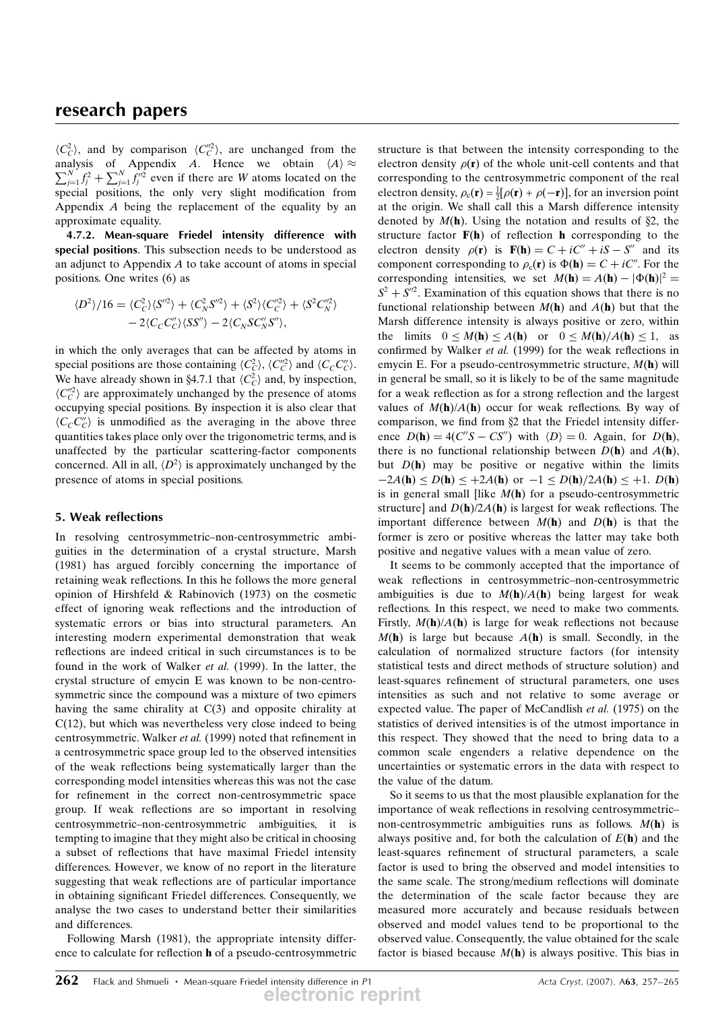$\langle C_C^2 \rangle$ , and by comparison  $\langle C_C^2 \rangle$ , are unchanged from the analysis of Appendix 4. Hence, we obtain  $\langle A \rangle \approx$ analysis of Appendix A. Hence we obtain  $\langle A \rangle \approx$ analysis of Appendix *A*. Hence we obtain  $\langle A \rangle \approx \sum_{i=1}^{N} f_i^2 + \sum_{i=1}^{N} f_i^{\prime\prime 2}$  even if there are *W* atoms located on the  $\sum_{j=1}^{N} f_j^2 + \sum_{j=1}^{N} f_j^{n/2}$  even if there are W atoms located on the equal positions the only very slight modification from special positions, the only very slight modification from Appendix A being the replacement of the equality by an approximate equality.

4.7.2. Mean-square Friedel intensity difference with special positions. This subsection needs to be understood as an adjunct to Appendix A to take account of atoms in special positions. One writes (6) as

$$
\langle D^2 \rangle / 16 = \langle C_C^2 \rangle \langle S^{\prime \prime 2} \rangle + \langle C_N^2 S^{\prime \prime 2} \rangle + \langle S^2 \rangle \langle C_C^{\prime \prime 2} \rangle + \langle S^2 C_N^{\prime \prime 2} \rangle - 2 \langle C_C C_C^{\prime \prime} \rangle \langle S S^{\prime \prime} \rangle - 2 \langle C_N S C_N^{\prime \prime} S^{\prime \prime} \rangle,
$$

in which the only averages that can be affected by atoms in special positions are those containing  $\langle C_C^2 \rangle$ ,  $\langle C_C^{\prime 2} \rangle$  and  $\langle C_C C_C^{\prime \prime} \rangle$ .<br>We have already shown in 84.7.1 that  $\langle C^2 \rangle$  and by inspection. We have already shown in §4.7.1 that  $\langle C_C^2 \rangle$  and, by inspection,  $\langle C'^{2} \rangle$  are approximately unchanged by the presence of atoms  $\langle C_C^{\prime\prime} \rangle$  are approximately unchanged by the presence of atoms<br>occupying special positions By inspection it is also clear that occupying special positions. By inspection it is also clear that  $\langle C_C C_C'' \rangle$  is unmodified as the averaging in the above three<br>quantities takes place only over the trigonometric terms and is quantities takes place only over the trigonometric terms, and is unaffected by the particular scattering-factor components concerned. All in all,  $\langle D^2 \rangle$  is approximately unchanged by the presence of atoms in special positions.

## 5. Weak reflections

In resolving centrosymmetric–non-centrosymmetric ambiguities in the determination of a crystal structure, Marsh (1981) has argued forcibly concerning the importance of retaining weak reflections. In this he follows the more general opinion of Hirshfeld & Rabinovich (1973) on the cosmetic effect of ignoring weak reflections and the introduction of systematic errors or bias into structural parameters. An interesting modern experimental demonstration that weak reflections are indeed critical in such circumstances is to be found in the work of Walker et al. (1999). In the latter, the crystal structure of emycin E was known to be non-centrosymmetric since the compound was a mixture of two epimers having the same chirality at C(3) and opposite chirality at C(12), but which was nevertheless very close indeed to being centrosymmetric. Walker et al. (1999) noted that refinement in a centrosymmetric space group led to the observed intensities of the weak reflections being systematically larger than the corresponding model intensities whereas this was not the case for refinement in the correct non-centrosymmetric space group. If weak reflections are so important in resolving centrosymmetric–non-centrosymmetric ambiguities, it is tempting to imagine that they might also be critical in choosing a subset of reflections that have maximal Friedel intensity differences. However, we know of no report in the literature suggesting that weak reflections are of particular importance in obtaining significant Friedel differences. Consequently, we analyse the two cases to understand better their similarities and differences.

Following Marsh (1981), the appropriate intensity difference to calculate for reflection h of a pseudo-centrosymmetric structure is that between the intensity corresponding to the electron density  $\rho(\mathbf{r})$  of the whole unit-cell contents and that corresponding to the centrosymmetric component of the real electron density,  $\rho_c(\mathbf{r}) = \frac{1}{2} [\rho(\mathbf{r}) + \rho(-\mathbf{r})]$ , for an inversion point<br>at the origin. We shall call this a Marsh difference intensity at the origin. We shall call this a Marsh difference intensity denoted by  $M(h)$ . Using the notation and results of  $\S2$ , the structure factor  $F(h)$  of reflection h corresponding to the electron density  $\rho(\mathbf{r})$  is  $\mathbf{F}(\mathbf{h}) = C + iC'' + iS - S''$  and its component corresponding to  $\rho_c(\mathbf{r})$  is  $\Phi(\mathbf{h}) = C + iC''$ . For the corresponding intensities, we set  $M(\mathbf{h}) = A(\mathbf{h}) - |\Phi(\mathbf{h})|^2 =$  $S^2 + S^{\prime\prime 2}$ . Examination of this equation shows that there is no functional relationship between  $M(h)$  and  $A(h)$  but that the Marsh difference intensity is always positive or zero, within the limits  $0 \le M(\mathbf{h}) \le A(\mathbf{h})$  or  $0 \le M(\mathbf{h})/A(\mathbf{h}) \le 1$ , as confirmed by Walker et al. (1999) for the weak reflections in emycin E. For a pseudo-centrosymmetric structure,  $M(h)$  will in general be small, so it is likely to be of the same magnitude for a weak reflection as for a strong reflection and the largest values of  $M(h)/A(h)$  occur for weak reflections. By way of comparison, we find from  $\S2$  that the Friedel intensity difference  $D(h) = 4(C''S - CS'')$  with  $\langle D \rangle = 0$ . Again, for  $D(h)$ , there is no functional relationship between  $D(h)$  and  $A(h)$ , but  $D(h)$  may be positive or negative within the limits  $-2A(h) \le D(h) \le +2A(h)$  or  $-1 \le D(h)/2A(h) \le +1$ .  $D(h)$ is in general small [like  $M(h)$  for a pseudo-centrosymmetric structure] and  $D(h)/2A(h)$  is largest for weak reflections. The important difference between  $M(h)$  and  $D(h)$  is that the former is zero or positive whereas the latter may take both positive and negative values with a mean value of zero.

It seems to be commonly accepted that the importance of weak reflections in centrosymmetric–non-centrosymmetric ambiguities is due to  $M(h)/A(h)$  being largest for weak reflections. In this respect, we need to make two comments. Firstly,  $M(h)/A(h)$  is large for weak reflections not because  $M(h)$  is large but because  $A(h)$  is small. Secondly, in the calculation of normalized structure factors (for intensity statistical tests and direct methods of structure solution) and least-squares refinement of structural parameters, one uses intensities as such and not relative to some average or expected value. The paper of McCandlish et al. (1975) on the statistics of derived intensities is of the utmost importance in this respect. They showed that the need to bring data to a common scale engenders a relative dependence on the uncertainties or systematic errors in the data with respect to the value of the datum.

So it seems to us that the most plausible explanation for the importance of weak reflections in resolving centrosymmetric– non-centrosymmetric ambiguities runs as follows.  $M(h)$  is always positive and, for both the calculation of  $E(h)$  and the least-squares refinement of structural parameters, a scale factor is used to bring the observed and model intensities to the same scale. The strong/medium reflections will dominate the determination of the scale factor because they are measured more accurately and because residuals between observed and model values tend to be proportional to the observed value. Consequently, the value obtained for the scale factor is biased because  $M(h)$  is always positive. This bias in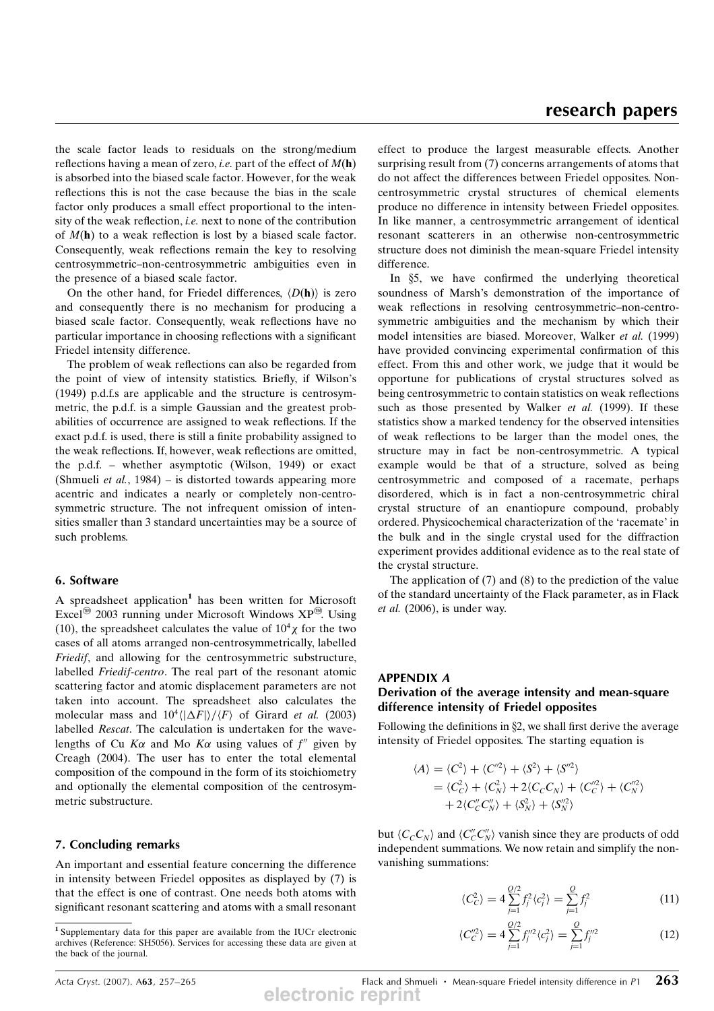the scale factor leads to residuals on the strong/medium reflections having a mean of zero, *i.e.* part of the effect of  $M(h)$ is absorbed into the biased scale factor. However, for the weak reflections this is not the case because the bias in the scale factor only produces a small effect proportional to the intensity of the weak reflection, i.e. next to none of the contribution of  $M(h)$  to a weak reflection is lost by a biased scale factor. Consequently, weak reflections remain the key to resolving centrosymmetric–non-centrosymmetric ambiguities even in the presence of a biased scale factor.

On the other hand, for Friedel differences,  $\langle D(\mathbf{h})\rangle$  is zero and consequently there is no mechanism for producing a biased scale factor. Consequently, weak reflections have no particular importance in choosing reflections with a significant Friedel intensity difference.

The problem of weak reflections can also be regarded from the point of view of intensity statistics. Briefly, if Wilson's (1949) p.d.f.s are applicable and the structure is centrosymmetric, the p.d.f. is a simple Gaussian and the greatest probabilities of occurrence are assigned to weak reflections. If the exact p.d.f. is used, there is still a finite probability assigned to the weak reflections. If, however, weak reflections are omitted, the p.d.f. – whether asymptotic (Wilson, 1949) or exact (Shmueli et al., 1984) – is distorted towards appearing more acentric and indicates a nearly or completely non-centrosymmetric structure. The not infrequent omission of intensities smaller than 3 standard uncertainties may be a source of such problems.

#### 6. Software

A spreadsheet application<sup>1</sup> has been written for Microsoft Excel<sup>®</sup> 2003 running under Microsoft Windows  $XP^@$ . Using (10), the spreadsheet calculates the value of  $10^4 \chi$  for the two cases of all atoms arranged non-centrosymmetrically, labelled Friedif, and allowing for the centrosymmetric substructure, labelled Friedif-centro. The real part of the resonant atomic scattering factor and atomic displacement parameters are not taken into account. The spreadsheet also calculates the molecular mass and  $10^4 \langle |\Delta F| \rangle / \langle F \rangle$  of Girard *et al.* (2003)<br>labelled *Rescot* The calculation is undertaken for the wavelabelled Rescat. The calculation is undertaken for the wavelengths of Cu K $\alpha$  and Mo K $\alpha$  using values of f<sup>th</sup> given by Creagh (2004). The user has to enter the total elemental composition of the compound in the form of its stoichiometry and optionally the elemental composition of the centrosymmetric substructure.

### 7. Concluding remarks

An important and essential feature concerning the difference in intensity between Friedel opposites as displayed by (7) is that the effect is one of contrast. One needs both atoms with significant resonant scattering and atoms with a small resonant effect to produce the largest measurable effects. Another surprising result from (7) concerns arrangements of atoms that do not affect the differences between Friedel opposites. Noncentrosymmetric crystal structures of chemical elements produce no difference in intensity between Friedel opposites. In like manner, a centrosymmetric arrangement of identical resonant scatterers in an otherwise non-centrosymmetric structure does not diminish the mean-square Friedel intensity difference.

In §5, we have confirmed the underlying theoretical soundness of Marsh's demonstration of the importance of weak reflections in resolving centrosymmetric–non-centrosymmetric ambiguities and the mechanism by which their model intensities are biased. Moreover, Walker et al. (1999) have provided convincing experimental confirmation of this effect. From this and other work, we judge that it would be opportune for publications of crystal structures solved as being centrosymmetric to contain statistics on weak reflections such as those presented by Walker *et al.* (1999). If these statistics show a marked tendency for the observed intensities of weak reflections to be larger than the model ones, the structure may in fact be non-centrosymmetric. A typical example would be that of a structure, solved as being centrosymmetric and composed of a racemate, perhaps disordered, which is in fact a non-centrosymmetric chiral crystal structure of an enantiopure compound, probably ordered. Physicochemical characterization of the 'racemate' in the bulk and in the single crystal used for the diffraction experiment provides additional evidence as to the real state of the crystal structure.

The application of (7) and (8) to the prediction of the value of the standard uncertainty of the Flack parameter, as in Flack et al. (2006), is under way.

## APPENDIX A Derivation of the average intensity and mean-square difference intensity of Friedel opposites

Following the definitions in  $\S2$ , we shall first derive the average intensity of Friedel opposites. The starting equation is

$$
\langle A \rangle = \langle C^2 \rangle + \langle C''^2 \rangle + \langle S^2 \rangle + \langle S''^2 \rangle
$$
  
= \langle C\_C^2 \rangle + \langle C\_N^2 \rangle + 2 \langle C\_C C\_N \rangle + \langle C\_C''^2 \rangle + \langle C\_N''^2 \rangle  
+ 2 \langle C\_C'' C\_N' \rangle + \langle S\_N^2 \rangle + \langle S\_N''^2 \rangle

but  $\langle C_C C_N \rangle$  and  $\langle C_C C_N' \rangle$  vanish since they are products of odd<br>independent summations. We now retain and simplify the nonindependent summations. We now retain and simplify the nonvanishing summations:

$$
\langle C_C^2 \rangle = 4 \sum_{j=1}^{Q/2} f_j^2 \langle c_j^2 \rangle = \sum_{j=1}^{Q} f_j^2 \tag{11}
$$

$$
\langle C_C''^2 \rangle = 4 \sum_{j=1}^{Q/2} f_j''^2 \langle c_j^2 \rangle = \sum_{j=1}^{Q} f_j''^2 \tag{12}
$$

Acta Cryst. (2007). A63, 257–265 **Flack and Shmueli Mean-square Friedel intensity difference in P1**  $263$ **electronic reprint**

<sup>1</sup> Supplementary data for this paper are available from the IUCr electronic archives (Reference: SH5056). Services for accessing these data are given at the back of the journal.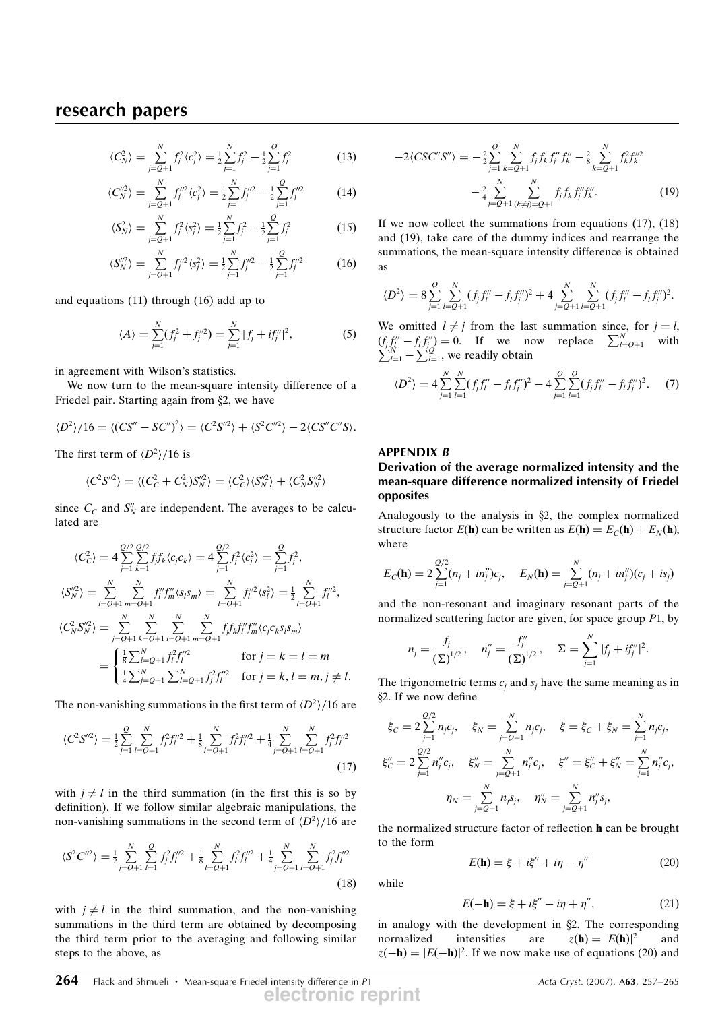$$
\langle C_N^2 \rangle = \sum_{j=Q+1}^N f_j^2 \langle c_j^2 \rangle = \frac{1}{2} \sum_{j=1}^N f_j^2 - \frac{1}{2} \sum_{j=1}^Q f_j^2 \tag{13}
$$

$$
\langle C_N^{\prime 2} \rangle = \sum_{j=Q+1}^N f_j^{\prime 2} \langle c_j^2 \rangle = \frac{1}{2} \sum_{j=1}^N f_j^{\prime 2} - \frac{1}{2} \sum_{j=1}^Q f_j^{\prime 2} \tag{14}
$$

$$
\langle S_N^2 \rangle = \sum_{j=Q+1}^N f_j^2 \langle s_j^2 \rangle = \frac{1}{2} \sum_{j=1}^N f_j^2 - \frac{1}{2} \sum_{j=1}^Q f_j^2 \tag{15}
$$

$$
\langle S_N^{\prime 2} \rangle = \sum_{j=Q+1}^N f_j^{\prime 2} \langle s_j^2 \rangle = \frac{1}{2} \sum_{j=1}^N f_j^{\prime 2} - \frac{1}{2} \sum_{j=1}^Q f_j^{\prime 2}
$$
 (16)

and equations (11) through (16) add up to

$$
\langle A \rangle = \sum_{j=1}^{N} (f_j^2 + f_j^{\prime\prime 2}) = \sum_{j=1}^{N} |f_j + if_j^{\prime\prime}|^2,\tag{5}
$$

in agreement with Wilson's statistics.

We now turn to the mean-square intensity difference of a Friedel pair. Starting again from  $\S2$ , we have

$$
\langle D^2 \rangle / 16 = \langle (CS'' - SC'')^2 \rangle = \langle C^2 S'^2 \rangle + \langle S^2 C'^2 \rangle - 2 \langle CS'' C'' S \rangle.
$$

The first term of  $\langle D^2 \rangle / 16$  is

$$
\langle C^2 S^{\prime\prime 2} \rangle = \langle (C_C^2 + C_N^2) S_N^{\prime\prime 2} \rangle = \langle C_C^2 \rangle \langle S_N^{\prime\prime 2} \rangle + \langle C_N^2 S_N^{\prime\prime 2} \rangle
$$

since  $C_c$  and  $S''_N$  are independent. The averages to be calculated are

$$
\langle C_C^2 \rangle = 4 \sum_{j=1}^{Q/2} \sum_{k=1}^{Q/2} f_j f_k \langle c_j c_k \rangle = 4 \sum_{j=1}^{Q/2} f_j^2 \langle c_j^2 \rangle = \sum_{j=1}^{Q} f_j^2,
$$
  
\n
$$
\langle S_N''^2 \rangle = \sum_{l=Q+1}^{N} \sum_{m=Q+1}^{N} f_l'' f_m'' \langle s_l s_m \rangle = \sum_{l=Q+1}^{N} f_l''^2 \langle s_l^2 \rangle = \frac{1}{2} \sum_{l=Q+1}^{N} f_l''^2,
$$
  
\n
$$
\langle C_N^2 S_N''^2 \rangle = \sum_{j=Q+1}^{N} \sum_{k=Q+1}^{N} \sum_{l=Q+1}^{N} \sum_{m=Q+1}^{N} f_j f_k f_l'' f_m' \langle c_j c_k s_l s_m \rangle
$$
  
\n
$$
= \begin{cases} \frac{1}{8} \sum_{l=Q+1}^{N} f_l^2 f_l'^2 & \text{for } j=k=l=m\\ \frac{1}{4} \sum_{j=Q+1}^{N} \sum_{l=Q+1}^{N} f_j^2 f_l'^2 & \text{for } j=k, l=m, j \neq l. \end{cases}
$$

The non-vanishing summations in the first term of  $\langle D^2 \rangle$  /16 are

$$
\langle C^2 S^{\prime\prime 2} \rangle = \frac{1}{2} \sum_{j=1}^{Q} \sum_{l=Q+1}^{N} f_j^2 f_l^{\prime\prime 2} + \frac{1}{8} \sum_{l=Q+1}^{N} f_l^2 f_l^{\prime\prime 2} + \frac{1}{4} \sum_{j=Q+1}^{N} \sum_{l=Q+1}^{N} f_j^2 f_l^{\prime\prime 2}
$$
\n(17)

with  $j \neq l$  in the third summation (in the first this is so by definition). If we follow similar algebraic manipulations, the non-vanishing summations in the second term of  $\langle D^2 \rangle / 16$  are

$$
\langle S^{2}C''^{2} \rangle = \frac{1}{2} \sum_{j=Q+1}^{N} \sum_{l=1}^{Q} f_{j}^{2}f_{l}''^{2} + \frac{1}{8} \sum_{l=Q+1}^{N} f_{l}^{2}f_{l}''^{2} + \frac{1}{4} \sum_{j=Q+1}^{N} \sum_{l=Q+1}^{N} f_{j}^{2}f_{l}''^{2}
$$
\n(18)

with  $j \neq l$  in the third summation, and the non-vanishing summations in the third term are obtained by decomposing the third term prior to the averaging and following similar steps to the above, as

$$
-2\langle CSC''S''\rangle = -\frac{2}{2}\sum_{j=1}^{Q}\sum_{k=Q+1}^{N}f_jf_kf_j''f_k'' - \frac{2}{8}\sum_{k=Q+1}^{N}f_k^2f_k''^2
$$

$$
-\frac{2}{4}\sum_{j=Q+1}^{N}\sum_{(k\neq j)=Q+1}^{N}f_jf_kf_j''f_k''.
$$
(19)

If we now collect the summations from equations (17), (18) and (19), take care of the dummy indices and rearrange the summations, the mean-square intensity difference is obtained as

$$
\langle D^2 \rangle = 8 \sum_{j=1}^{Q} \sum_{l=Q+1}^{N} (f_j f_l'' - f_l f_j'')^2 + 4 \sum_{j=Q+1}^{N} \sum_{l=Q+1}^{N} (f_j f_l'' - f_l f_j'')^2.
$$

We omitted  $l \neq j$  from the last summation since, for  $j = l$ ,  $(f_j f''_l - f_l f''_j) = 0$ . If we now replace  $\sum_{l=Q+1}^{N}$  with  $\sum_{l=1}^{N} - \sum_{l=1}^{Q}$ , we readily obtain

$$
\langle D^2 \rangle = 4 \sum_{j=1}^N \sum_{l=1}^N (f_j f_l'' - f_l f_j'')^2 - 4 \sum_{j=1}^Q \sum_{l=1}^Q (f_j f_l'' - f_l f_j'')^2. \tag{7}
$$

## APPENDIX B

## Derivation of the average normalized intensity and the mean-square difference normalized intensity of Friedel opposites

Analogously to the analysis in  $\S2$ , the complex normalized structure factor  $E(\mathbf{h})$  can be written as  $E(\mathbf{h}) = E_C(\mathbf{h}) + E_N(\mathbf{h})$ , where

$$
E_C(\mathbf{h}) = 2\sum_{j=1}^{Q/2} (n_j + i n_j'')c_j, \quad E_N(\mathbf{h}) = \sum_{j=Q+1}^N (n_j + i n_j'')(c_j + i s_j)
$$

and the non-resonant and imaginary resonant parts of the normalized scattering factor are given, for space group P1, by

$$
n_j = \frac{f_j}{(\Sigma)^{1/2}}, \quad n_j'' = \frac{f_j''}{(\Sigma)^{1/2}}, \quad \Sigma = \sum_{j=1}^N |f_j + i f_j''|^2.
$$

The trigonometric terms  $c_i$  and  $s_j$  have the same meaning as in x2. If we now define

$$
\xi_C = 2 \sum_{j=1}^{Q/2} n_j c_j, \quad \xi_N = \sum_{j=Q+1}^{N} n_j c_j, \quad \xi = \xi_C + \xi_N = \sum_{j=1}^{N} n_j c_j,
$$
  

$$
\xi''_C = 2 \sum_{j=1}^{Q/2} n''_j c_j, \quad \xi''_N = \sum_{j=Q+1}^{N} n''_j c_j, \quad \xi'' = \xi''_C + \xi''_N = \sum_{j=1}^{N} n''_j c_j,
$$
  

$$
\eta_N = \sum_{j=Q+1}^{N} n_j s_j, \quad \eta''_N = \sum_{j=Q+1}^{N} n''_j s_j,
$$

the normalized structure factor of reflection h can be brought to the form

$$
E(\mathbf{h}) = \xi + i\xi'' + i\eta - \eta''
$$
 (20)

while

$$
E(-\mathbf{h}) = \xi + i\xi'' - i\eta + \eta'', \tag{21}
$$

in analogy with the development in §2. The corresponding<br>normalized intensities are  $z(\mathbf{h}) = |E(\mathbf{h})|^2$  and normalized intensities are  $z(\mathbf{h}) = |E(\mathbf{h})|^2$  and<br> $z(-\mathbf{h}) = |E(-\mathbf{h})|^2$  If we now make use of equations (20) and  $z(-\mathbf{h}) = |E(-\mathbf{h})|^2$ . If we now make use of equations (20) and